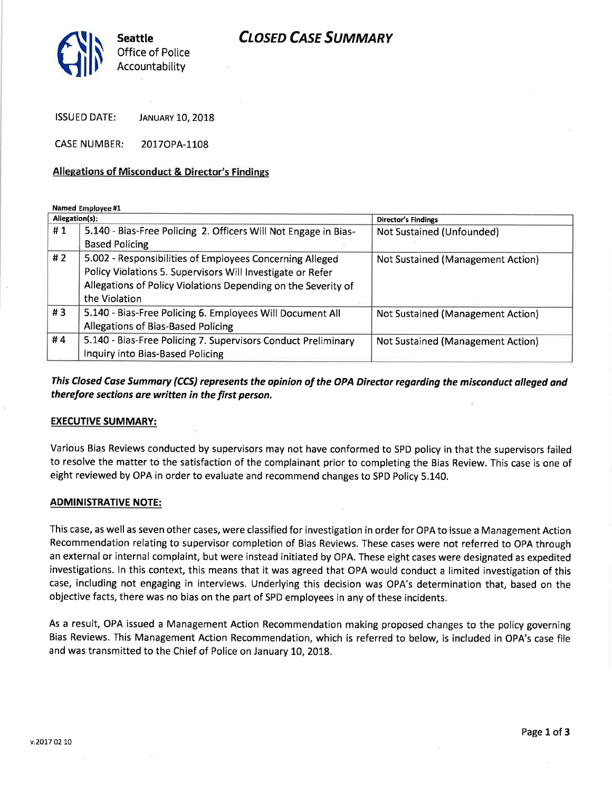

ISSUED DATE: JANUARY 10, 2018

CASE NUMBER: 20170PA-1108

## Allegations of Misconduct & Director's Findings

Named Employee #1

| Allegation(s): |                                                                 | <b>Director's Findings</b>               |
|----------------|-----------------------------------------------------------------|------------------------------------------|
| #1             | 5.140 - Bias-Free Policing 2. Officers Will Not Engage in Bias- | Not Sustained (Unfounded)                |
|                | <b>Based Policing</b>                                           |                                          |
| # $2$          | 5.002 - Responsibilities of Employees Concerning Alleged        | Not Sustained (Management Action)        |
|                | Policy Violations 5. Supervisors Will Investigate or Refer      |                                          |
|                | Allegations of Policy Violations Depending on the Severity of   |                                          |
|                | the Violation                                                   |                                          |
| #3             | 5.140 - Bias-Free Policing 6. Employees Will Document All       | Not Sustained (Management Action)        |
|                | Allegations of Bias-Based Policing                              |                                          |
| #4             | 5.140 - Bias-Free Policing 7. Supervisors Conduct Preliminary   | <b>Not Sustained (Management Action)</b> |
|                | Inquiry into Bias-Based Policing                                |                                          |

This Closed Case Summary (CCS) represents the opinion of the OPA Director regarding the misconduct alleged and therefore sections are written in the first person.

### EXECUTIVE SUMMARY:

Various Bias Reviews conducted by supervisors may not have conformed to SPD policy in that the supervisors failed to resolve the matter to the satisfaction of the complainant prior to completing the Bias Review. This case is one of eight reviewed by OPA in order to evaluate and recommend changes to SPD Policy 5.140.

#### ADMINISTRATIVE NOTE:

This case, as well as seven other cases, were classified for investigation in order for OPA to issue a Management Action Recommendation relating to supervisor completion of Bias Reviews. These cases were not referred to OPA through an external or internal complaint, but were instead initiated by OPA. These eight cases were designated as expedited investigations. ln this context, this means that it was agreed that OPA would conduct a limited investigation of this case, including not engaging in interviews. Underlying this decision was OPA's determination that, based on the objective facts, there was no bias on the part of SPD employees in any of these incidents.

As a result, OPA issued a Management Action Recommendation making proposed changes to the policy governing Bias Reviews. This Management Action Recommendation, which is referred to below, is included in OPA's case file and was transmitted to the Chief of Police on January 10, 2018.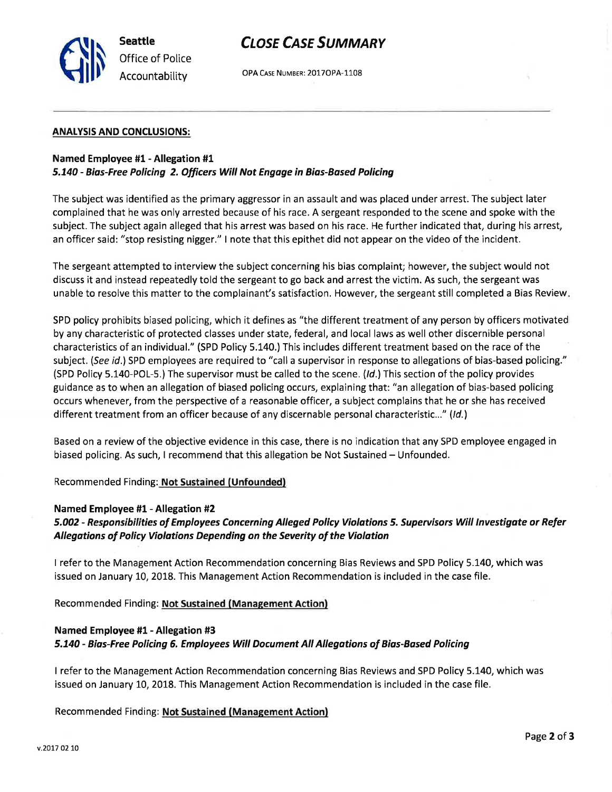

# **CLOSE CASE SUMMARY**

Accountability OPA CASE NUMBER: 20170PA-1108

#### ANALYSIS AND CONCLUSIONS:

#### Named Employee #1- Allegation #1

#### 5.140 - Bias-Free Policing 2. Officers Will Not Engage in Bias-Based Policing

The subject was identified as the primary aggressor in an assault and was placed under arrest. The subject later complained that he was only arrested because of his race. A sergeant responded to the scene and spoke with the subject. The subject again alleged that his arrest was based on his race. He further indicated that, during his arrest, an officer said: "stop resisting nigger." I note that this epithet did not appear on the video of the incident.

The sergeant attempted to interview the subject concerning his bias complaint; however, the subject would not discuss it and instead repeatedly told the sergeant to go back and arrest the victim. As such, the sergeant was unable to resolve this matter to the complainant's satisfaction, However, the sergeant still completed a Bias Review

SPD policy prohibits biased policing, which it defines as "the different treatment of any person by officers motivated by any characteristic of protected classes under state, federal, and local laws as well other discernible personal characteristics of an individual." (SPD Policy 5.140,) This includes different treatment based on the race of the subject. (See id.) SPD employees are required to "call a supervisor in response to allegations of bias-based policing." (SPD Policy 5.140-POL-5.) The supervisor must be called to the scene. (/d.) This section of the policy provides guidance as to when an allegation of biased policing occurs, explaining that: "an allegation of bias-based policing occurs whenever, from the perspective of a reasonable officer, a subject complains that he or she has received different treatment from an officer because of any discernable personal characteristic..." (Id.)

Based on a review of the objective evidence in this case, there is no indication that any SPD employee engaged in biased policing. As such, I recommend that this allegation be Not Sustained – Unfounded.

#### Recommended Finding: Not Sustained (Unfounded)

#### Named Employee #1 - Allegation #2

5.002 - Responsibilities of Employees Concerning Alleged Policy Violations 5. Supervisors Will Investigate or Refer Allegations of Policy Violations Depending on the Severity of the Violation

I refer to the Management Action Recommendation concerning Bias Reviews and SPD Policy 5.140, which was issued on January 10, 2018. This Management Action Recommendation is included in the case file.

Recommended Finding: Not Sustained (Management Action)

# Named Employee #1 - Allegation #3 5.140 - Bias-Free Policing 6. Employees Will Document All Allegations of Bias-Based Policing

I refer to the Management Action Recommendation concerning Bias Reviews and SPD Policy 5.140, which was issued on January 10, 2018. This Management Action Recommendation is included in the case file.

Recommended Finding: Not Sustained (Management Action)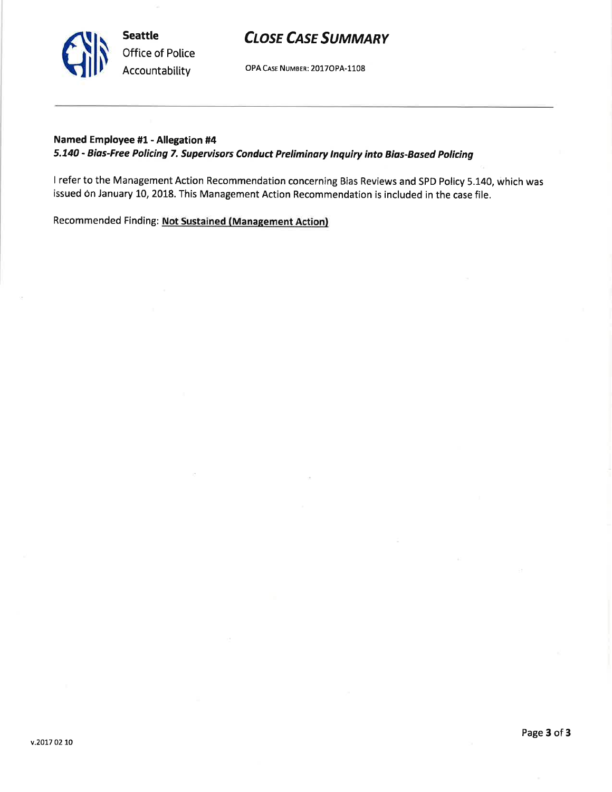v.2017 02 10

# **CLOSE CASE SUMMARY**

OPA CASE NUMBER: 2017OPA-1108

# Named Employee #1 - Allegation #4

Seattle

Office of Police Accountability

# 5.740 - Bios-Free Policing 7, Supervisors Conduct Preliminary lnquiry into Bias-Based Policing

<sup>I</sup>refer to the Management Action Recommendation concerning Bias Reviews and SPD Policy 5.140, which was issued on January 10, 2018. This Management Action Recommendation is included in the case file.

Recommended Finding: Not Sustained (Management Action)

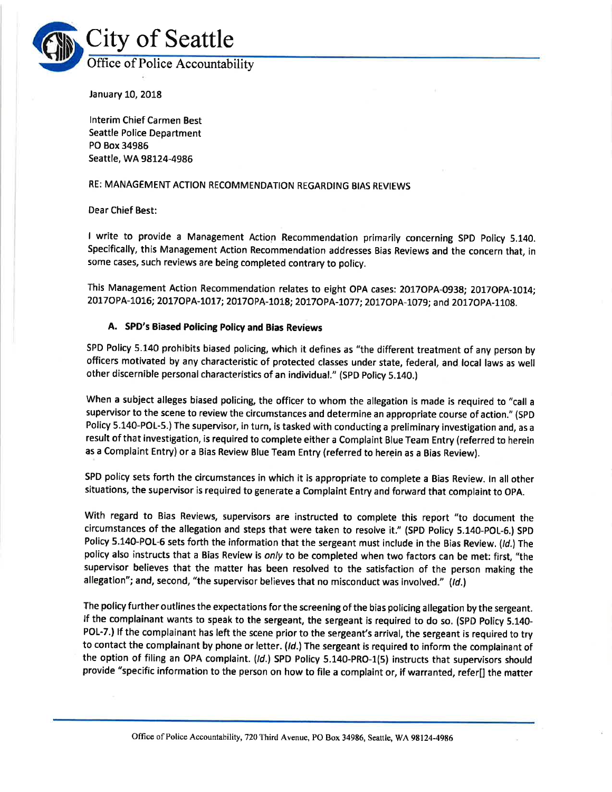

January 10, 2018

lnterim Chief Carmen Best Seattle Police Department PO Box 34985 Seattle, WA 98L24-4986

#### RE: MANAGEMENT ACTION RECOMMENDATION REGARDING BIAS REVIEWS

Dear Chief Best:

I write to provide a Management Action Recommendation primarily concerning SPD Policy 5.140. Specifically, this Management Action Recommendation addresses Bias Reviews and the concern that, in some cases, such reviews are being completed contrary to policy.

This Management Action Recommendation relates to eight OPA cases: 2017OPA-0938; 2017OPA-1014; 2017OPA-1016; 2017OPA-1017; 2017OPA-1018; 2017OPA-1077; 2017OPA-1079; and 2017OPA-1108.

#### A. SPD's Biased Policing Policy and Bias Reviews

SPD Policy 5.140 prohibits biased policing, which it defines as "the different treatment of any person by officers motivated by any characteristic of protected classes under state, federal, and local laws as well other discernible personal characteristics of an individual." (spD policy 5.140.)

When a subject alleges biased policing, the officer to whom the allegation is made is required to "call <sup>a</sup> supervisor to the scene to review the circumstances and determine an appropriate course of action." (SPD Policy 5.140-POL-5.) The supervisor, in turn, is tasked with conducting a preliminary investigation and, as <sup>a</sup> result of that investigation, is required to complete either a Complaint Blue Team Entry (referred to herein as a Complaint Entry) or a Bias Review Blue Team Entry (referred to herein as a Bias Review).

SPD policy sets forth the circumstances in which it is appropriate to complete a Bias Review. ln all other situations, the supervisor is required to generate a Complaint Entry and forward that complaint to OpA.

With regard to Bias Reviews, supervisors are instructed to complete this report "to document the circumstances of the allegation and steps that were taken to resolve it." (SpD policy 5.140-pOL-8.) SpD Policy 5.140-POL-6 sets forth the information that the sergeant must include in the Bias Review. (Id.) The policy also instructs that a Bias Review is only to be completed when two factors can be met: first, "the supervisor believes that the matter has been resolved to the satisfaction of the person making the allegation"; and, second, "the supervisor believes that no misconduct was involved." (Id.)

The policy further outlines the expectations for the screening of the bias policing allegation by the sergeant, lf the complainant wants to speak to the sergeant, the sergeant is required to do so. (SPD Policy 5.140- POL-7.) If the complainant has left the scene prior to the sergeant's arrival, the sergeant is required to try to contact the complainant by phone or letter. (Id.) The sergeant is required to inform the complainant of the option of filing an OPA complaint. (Id.) SPD Policy 5.140-PRO-1(5) instructs that supervisors should provide "specific information to the person on how to file a complaint or, if warranted, refer[] the matter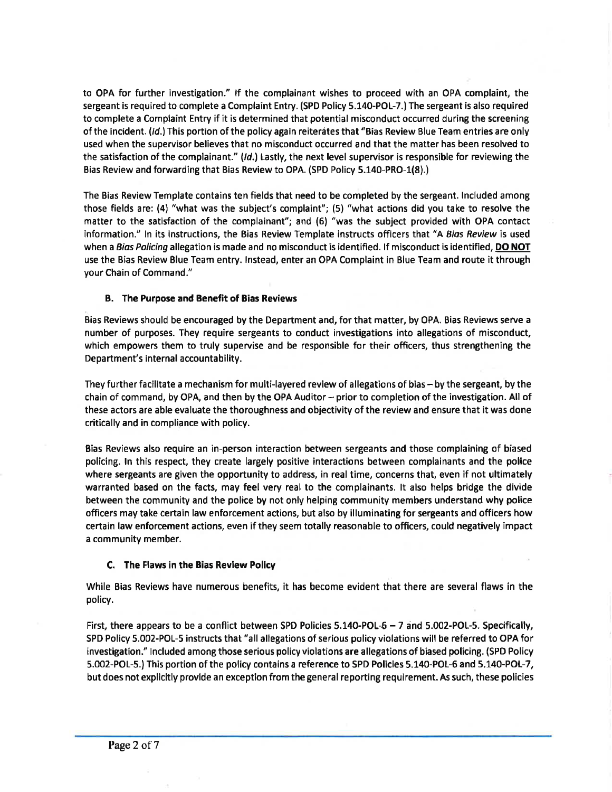to OPA for further investigation." If the complainant wishes to proceed with an OPA complaint, the sergeant is required to complete a Complaint Entry. (SPD Policy 5.140-POL-7.)The sergeant is also required to complete a Complaint Entry if it is determined that potential misconduct occurred during the screening of the incident. (Id.) This portion of the policy again reiterates that "Bias Review Blue Team entries are only used when the supervisor believes that no misconduct occurred and that the matter has been resolved to the satisfaction of the complainant."  $(ld)$  Lastly, the next level supervisor is responsible for reviewing the Bias Review and forwarding that Bias Review to OPA. (SPD Policy 5.140-PRO-1(8).)

The Bias Review Template contains ten fields that need to be completed by the sergeant. lncluded among those fields are: (4) "what was the subject's complaint"; (5) "what actions did you take to resolve the matter to the satisfaction of the complainant"; and (6) "was the subject provided with OPA contact information." In its instructions, the Bias Review Template instructs officers that "A Bias Review is used when a Bias Policing allegation is made and no misconduct is identified. If misconduct is identified, DO NOT use the Bias Review Blue Team entry. lnstead, enter an OPA Complaint in Blue Team and route it through your Chain of Command."

### B. The Purpose and Benefit of Bias Reviews

Bias Reviews should be encouraged by the Department and, for that matter, by OPA. Bias Reviews serve a number of purposes. They require sergeants to conduct investigations into allegations of misconduct, which empowers them to truly supervise and be responsible for their officers, thus strengthening the Department's internal accountability.

They further facilitate a mechanism for multi-layered review of allegations of bias - by the sergeant, by the chain of command, by OPA, and then by the OPA Auditor -- prior to completion of the investigation. All of these actors are able evaluate the thoroughness and objectivity of the review and ensure that it was done critically and in compliance with policy.

Bias Reviews also require an in-person interaction between sergeants and those complaining of biased policing. ln this respect, they create largely positive interactions between complainants and the police where sergeants are given the opportunity to address, in real time, concerns that, even if not ultimately warranted based on the facts, may feel very real to the complainants. lt also helps bridge the divide between the community and the police by not only helping community members understand why police officers may take certain law enforcement actions, but also by illuminating for sergeants and officers how certain law enforcement actions, even if they seem totally reasonable to officers, could negatively impact a community member.

### C. The Flaws in the Bias Revlew Pollcy

While Bias Reviews have numerous benefits, it has become evident that there are several flaws in the policy,

First, there appears to be a conflict between SPD Policies 5.140-POL-6 - 7 and 5.002-POL-5. Specifically, SPD Policy 5.002-POL-5 instructs that "all allegations of serious policy violations will be referred to OPA for investigation." lncluded among those serious policy violations are allegations of biased policing. (SPD Policy 5.002-POL-5.) This portion of the policy contains a reference to SPD Policies 5.140-POL-6 and 5.140-POL-7, but does not explicitly provide an exception from the general reporting requirement. As such, these policies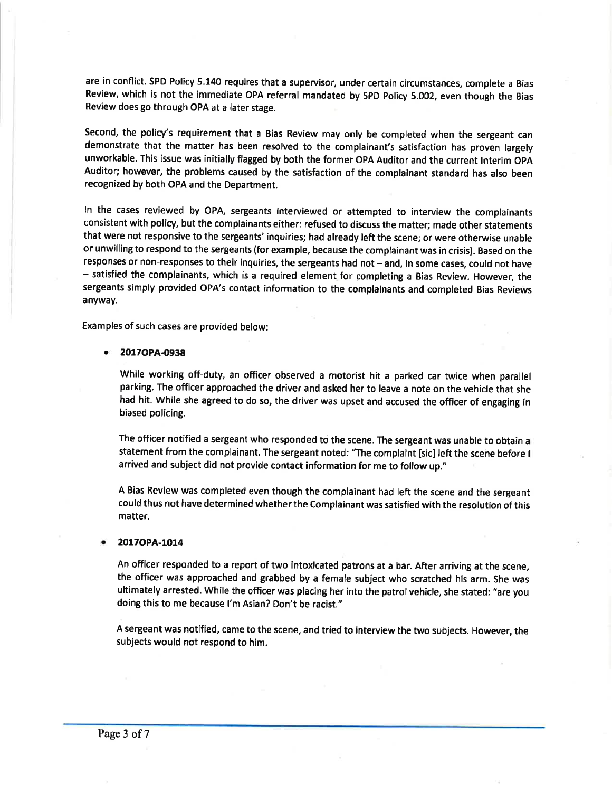are in conflict. SPD Policy 5.140 requires that a supervisor, under certain circumstances, complete a Bias Review, which is not the immediate OPA referral mandated by SPD policy 5.002, even though the Bias Review does go through OPA at a later stage.

Second, the policy's requirement that a Bias Review may only be completed when the sergeant can demonstrate that the matter has been resolved to the complainant's satisfaction has proven largely unworkable. This issue was initially flagged by both the former OPA Auditor and the current lnterim OpA Auditor; however, the problems caused by the satisfaction of the complainant standard has also been recognized by both OPA and the Department.

ln the cases reviewed by OPA, sergeants interviewed or attempted to interview the complainants consistent with policy, but the complainants either: refused to discuss the matter; made other statements that were not responsive to the sergeants' inquiries; had already left the scene; or were otherwise unable or unwilling to respond to the sergeants (for example, because the complainant was in crisis). Based on the responses or non-responses to their inquiries, the sergeants had not - and, in some cases, could not have - satisfied the complainants, which is a required element for gompleting a Bias Review. However, the sergeants simply provided OPA's contact information to the complainants and completed Bias Reviews anyway.

Examples of such cases are provided below:

#### 2017OPA-0938

While working off-duty, an officer observed a motorist hit a parked car twice when parallel parking. The officer approached the driver and asked her to leave a note on the vehicle that she had hit. While she agreed to do so, the driver was upset and accused the officer of engaging in biased policing.

The officer notified a sergeant who responded to the scene. The sergeant was unable to obtain <sup>a</sup> statement from the complainant. The sergeant noted: "The complaint [sic] left the scene before <sup>I</sup> arrived and subject did not provide contact information for me to follow up."

A Bias Review was completed even though the complainant had left the scene and the sergeant could thus not have determined whether the Complainant was satisfied with the resolution of this matter.

#### . 2017OPA-1014

An officer responded to a report of two intoxicated patrons at a bar. After arriving at the scene, the officer was approached and grabbed by a female subject who scratched his arm. She was ultimately arrested. While the officer was placing her into the patrol vehicle, she stated: "are you doing this to me because l'm Asian? Don't be racist."

<sup>A</sup>sergeant was notified, came to the scene, and tried to interview the two subjects. However, the subjects would not respond to him.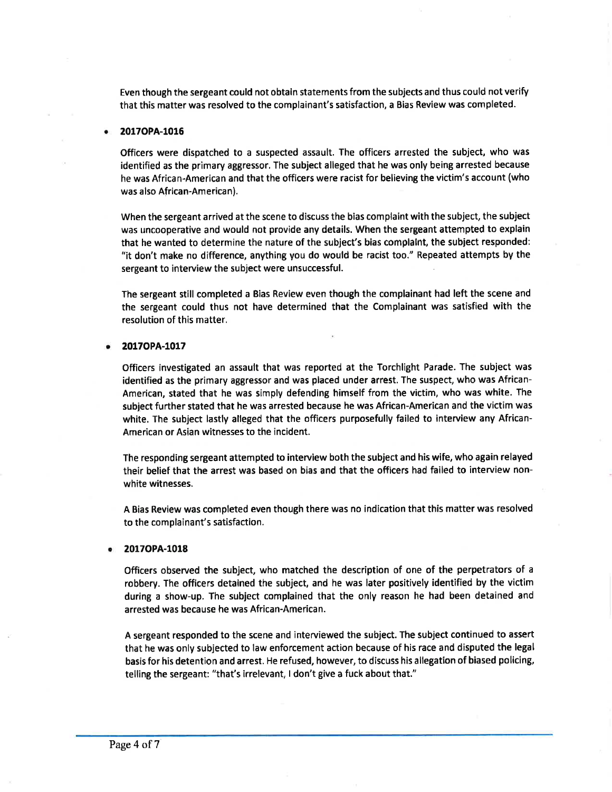Even though the sergeant could not obtain statements from the subjects and thus could not verifr that this matter was resolved to the complainant's satisfaction, a Bias Review was completed.

#### 2017OPA-1016

Officers were dispatched to a suspected assault. The officers arrested the subject, who was identified as the primary aggressor, The subject alleged that he was only being arrested because he was African-American and that the officers were racist for believing the victim's account (who was also African-American).

When the sergeant arrived at the scene to discuss the bias complaint with the subject, the subject was uncooperative and would not provide any details. When the sergeant attempted to explain that he wanted to determine the nature of the subject's bias complalnt, the subject responded: "it don't make no difference, anything you do would be racist too." Repeated attempts by the sergeant to interview the subject were unsuccessful.

The sergeant still completed a Bias Review even though the complainant had left the scene and the sergeant could thus not have determined that the Complainant was satisfied with the resolution of this matter.

#### 2017OPA-1017

Officers investigated an assault that was reported at the Torchlight Parade. The subject was identified as the primary aggressor and was placed under arrest. The suspect, who was African-American, stated that he was simply defending himself from the victim, who was white. The subiect further stated that he was arrested because he was African-American and the victim was white. The subject lastly alleged that the officers purposefully failed to interview any African-American or Asian witnesses to the incident.

The responding sergeant attempted to interview both the subject and his wife, who again relayed their belief that the arrest was based on bias and that the officers had failed to interview nonwhite witnesses.

A Bias Review was completed even though there was no indication that this matter was resolved to the complainant's satisfaction.

#### 20170PA-l018 a

Officers observed the subject, who matched the description of one of the perpetrators of <sup>a</sup> robbery. The officers detained the subject, and he was later positively identified by the victim during a show-up. The subject complained that the only reason he had been detained and arrested was because he was African-American.

A sergeant responded to the scene and interviewed the subject. The subject continued to assert that he was only subjected to law enforcement action because of his race and disputed the legal basis for his detention and arrest. He refused, however, to discuss his allegation of biased policing, telling the sergeant: "that's irrelevant, I don't give a fuck about that."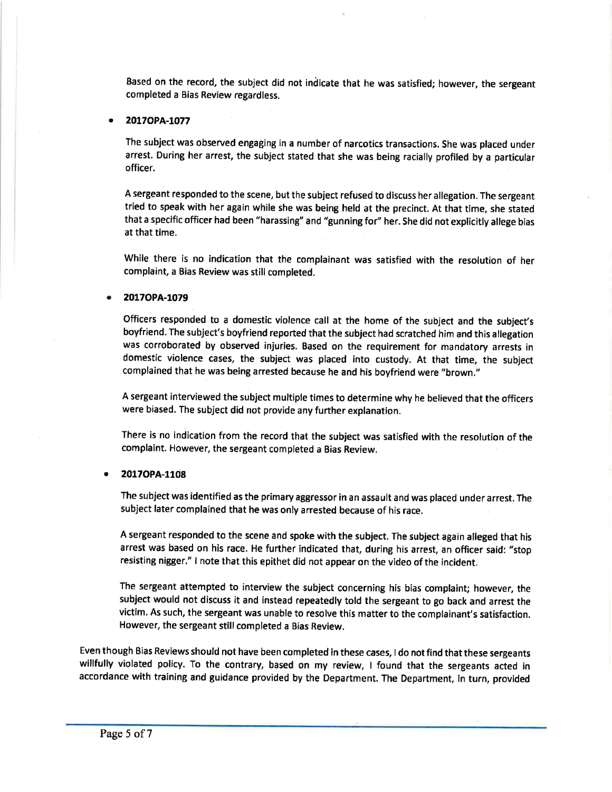Based on the record, the subject did not indicate that he was satisfied; however, the sergeant completed a Bias Review regardless.

#### 2017OPA-1077

The subject was observed engaging in a number of narcotics transactions. She was placed under arrest. During her arrest, the subject stated that she was being racially profiled by a particular officer.

<sup>A</sup>sergeant responded to the scene, but the subject refused to discuss her allegation. The sergeant tried to speak with her again while she was being held at the precinct. At that time, she stated that a specific officer had been "harassing" and "gunning for" her. She did not explicitly allege bias at that time.

While there is no indication that the complainant was satisfied with the resolution of her complaint, a Bias Review was still completed.

#### 2017OPA-1079 a

Officers responded to a domestic violence call at the home of the subject and the subject's boyfriend. The subject's boyfriend reported that the subject had scratched him and this allegation was corroborated by observed injuries, Based on the requirement for mandatory arrests in domestic violence cases, the subject was placed into custody. At that time, the subject complained that he was being arrested because he and his boyfriend were "brown."

A sergeant interviewed the subject multiple times to determine why he believed that the officers were biased. The subject did not provide any further explanation.

There is no indication from the record that the subject was satisfied with the resolution of the complaint. However, the sergeant completed a Bias Review.

#### 20170PA-1108 a

The subject was identified as the primary aggressor in an assault and was placed under arrest. The subject later complained that he was only arrested because of his race.

A sergeant responded to the scene and spoke with the subject. The subject again alleged that his arrest was based on his race. He further indicated that, during his arrest, an officer said: "stop resisting nigger." I note that this epithet did not appear on the video of the incident.

The sergeant attempted to interview the subject concerning his bias complaint; however, the subiect would not discuss it and instead repeatedly told the sergeant to go back and arrest the victim. As such, the sergeant was unable to resolve this matter to the complainant's satisfaction. However, the sergeant still completed a Bias Review.

Even though Bias Reviews should not have been completed in these cases, I do not find that these sergeants willfully violated policy. To the contrary, based on my review, I found that the sergeants acted in accordance with training and guidance provided by the Department. The Department, in turn, provided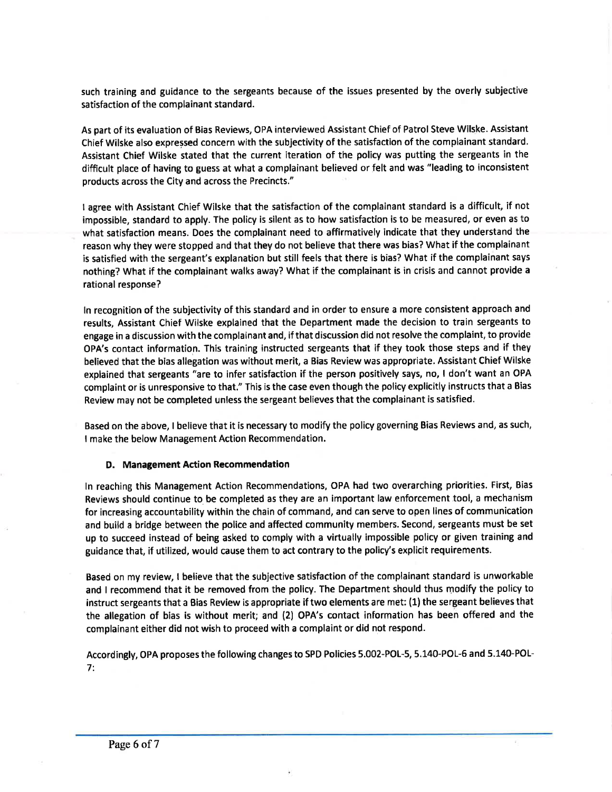such training and guidance to the sergeants because of the issues presented by the overly subjective satisfaction of the complainant standard.

As part of its evaluation of Bias Reviews, OPA interviewed Assistant Chief of Patrol Steve Wilske. Assistant Chief Wilske also expressed concern with the subjectivity of the satisfaction of the complainant standard. Assistant Chief Wilske stated that the current iteration of the policy was putting the sergeants in the difficult place of having to guess at what a complainant believed or felt and was "leading to inconsistent products across the City and across the Precincts."

I agree with Assistant Chief Wilske that the satisfaction of the complainant standard is a difficult, if not impossible, standard to apply. The policy is silent as to how satisfaction is to be measured, or even as to what satisfaction means. Does the complainant need to affirmatively indicate that they understand the reason why they were stopped and that they do not believe that there was bias? What if the complainant is satisfied with the sergeant's explanation but still feels that there is bias? What if the complainant says nothing? What if the complainant walks away? What if the complainant is in crisis and cannot provide <sup>a</sup> rational response?

ln recognition of the subjectivity of this standard and in order to ensure a more consistent approach and results, Assistant Chief Wilske explained that the Department made the decision to train sergeants to engage in a discussion with the complainant and, if that discussion did not resolve the complaint, to provide OPA's contact information. This training instructed sergeants that if they took those steps and if they believed that the bias allegation was without merit, a Bias Review was appropriate. Assistant Chief Wilske explained that sergeants "are to infer satisfaction if the person positively says, no, I don't want an OPA complaint or is unresponsive to that." This is the case even though the policy explicitly instructs that a Bias Review may not be completed unless the sergeant believes that the complainant is satisfied.

Based on the above, I believe that it is necessary to modify the policy governing Bias Reviews and, as such, I make the below Management Action Recommendation.

#### D. Management Action Recommendation

ln reaching this Management Action Recommendations, OPA had two overarching priorities. First, Bias Reviews should continue to be completed as they are an important law enforcement tool, a mechanism for increasing accountability within the chain of command, and can serve to open lines of communication and build a bridge between the police and affected community members. Second, sergeants must be set up to succeed instead of being asked to comply with a virtually impossible policy or given training and guidance that, if utilized, would cause them to act contrary to the policy's explicit requirements.

Based on my review, I believe that the subjective satisfaction of the complainant standard is unworkable and I recommend that it be removed from the policy. The Department should thus modify the policy to instruct sergeants that a Bias Review is appropriate if two elements are met: (1) the sergeant believes that the allegation of bias is without merit; and (2) OPA's contact information has been offered and the complainant either did not wish to proceed with a complaint or did not respond.

Accordingly, OPA proposes the following changes to SPD Policies 5.002-POL-5, 5.140-POL-5 and 5.140-POL-7: